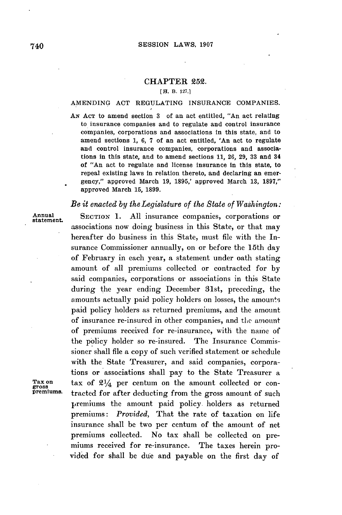## CHAPTER **252.**

## **[H. B. 127.]**

## **AMENDING ACT** REGULATING **INSURANCE** COMPANIES.

**AN ACT** to amend section **3** of an act entitled, "An act relating to insurance companies and to regulate and control insurance companies, corporations and associations in this state, and to amend sections **1, 6, 7** of an act entitled, 'An act to regulate and control insurance companies, corporations and associations in this state, and to amend sections **11, 26, 29, 33** and 34 of "An act to regulate and license insurance in this state, to repeal existing laws in relation thereto, and declaring an emergency," approved March **19, 1895,'** approved March **13, 1897,"** approved March **15, 1899.**

## *Be it enacted by the Legislature of the State of Washington:*

Annual SECTION 1. All insurance companies, corporations or associations now doing business in this State, or that may hereafter do business in this State, must file with the Insurance Commissioner annually, on or before the 15th day of February in each year, a statement under oath stating amount of all premiums collected or contracted for **by** said companies, corporations or associations in this State during the year ending December 31st, preceding, the amounts actually paid policy holders on losses, the amounts paid policy holders as returned premiums, and the amount of insurance re-insured in other companies, and the amount of premiums received for re-insurance, with the name of the **policy** holder so re-insured. The Insurance Commissioner shall file a copy of such verified statement or schedule with the State Treasurer, and said companies, corporations or associations shall pay to the State Treasurer a **Tax** on tax of 21/4 per centum on the amount collected or con**premiums.** tracted for after deducting from the gross amount of such premiums the amount paid policy. holders as returned premiums: *Provided,* That the rate of taxation on life insurance shall be two per centum of the amount of net premiums collected. No tax shall be collected on premiums received for re-insurance. The taxes herein provided for shall be due and payable on the first day of